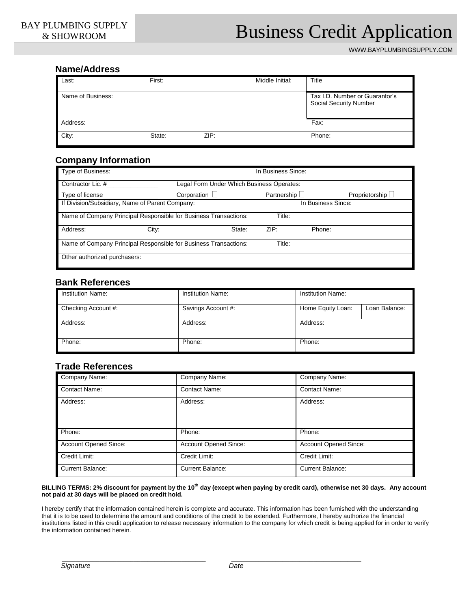# PLUMBING SUPPLY | Business Credit Application

WWW.BAYPLUMBINGSUPPLY.COM

### **Name/Address**

| Last:             | First: |      | Middle Initial: | Title                                                           |
|-------------------|--------|------|-----------------|-----------------------------------------------------------------|
| Name of Business: |        |      |                 | Tax I.D. Number or Guarantor's<br><b>Social Security Number</b> |
| Address:          |        |      |                 | Fax:                                                            |
| City:             | State: | ZIP: |                 | Phone:                                                          |

## **Company Information**

| Type of Business:                                                          | In Business Since: |                                           |        |                  |  |
|----------------------------------------------------------------------------|--------------------|-------------------------------------------|--------|------------------|--|
| Contractor Lic. #                                                          |                    | Legal Form Under Which Business Operates: |        |                  |  |
| Type of license                                                            | Corporation $\Box$ | Partnership $\Box$                        |        | Proprietorship L |  |
| If Division/Subsidiary, Name of Parent Company:                            | In Business Since: |                                           |        |                  |  |
| Name of Company Principal Responsible for Business Transactions:           |                    | Title:                                    |        |                  |  |
| Address:<br>City:                                                          | State:             | ZIP:                                      | Phone: |                  |  |
| Name of Company Principal Responsible for Business Transactions:<br>Title: |                    |                                           |        |                  |  |
| Other authorized purchasers:                                               |                    |                                           |        |                  |  |

## **Bank References**

| Institution Name:   | Institution Name:  | Institution Name: |               |
|---------------------|--------------------|-------------------|---------------|
| Checking Account #: | Savings Account #: | Home Equity Loan: | Loan Balance: |
| Address:            | Address:           | Address:          |               |
| Phone:              | Phone:             | Phone:            |               |

## **Trade References**

| Company Name:                | Company Name:           | Company Name:                |
|------------------------------|-------------------------|------------------------------|
| <b>Contact Name:</b>         | <b>Contact Name:</b>    | <b>Contact Name:</b>         |
| Address:                     | Address:                | Address:                     |
| Phone:                       | Phone:                  | Phone:                       |
| <b>Account Opened Since:</b> | Account Opened Since:   | <b>Account Opened Since:</b> |
| Credit Limit:                | Credit Limit:           | Credit Limit:                |
| <b>Current Balance:</b>      | <b>Current Balance:</b> | <b>Current Balance:</b>      |

#### **BILLING TERMS: 2% discount for payment by the 10th day (except when paying by credit card), otherwise net 30 days. Any account not paid at 30 days will be placed on credit hold.**

I hereby certify that the information contained herein is complete and accurate. This information has been furnished with the understanding that it is to be used to determine the amount and conditions of the credit to be extended. Furthermore, I hereby authorize the financial institutions listed in this credit application to release necessary information to the company for which credit is being applied for in order to verify the information contained herein.

\_\_\_\_\_\_\_\_\_\_\_\_\_\_\_\_\_\_\_\_\_\_\_\_\_\_\_\_\_\_\_\_\_\_\_\_\_\_\_\_\_\_ \_\_\_\_\_\_\_\_\_\_\_\_\_\_\_\_\_\_\_\_\_\_\_\_\_\_\_\_\_\_\_\_\_\_\_\_\_\_